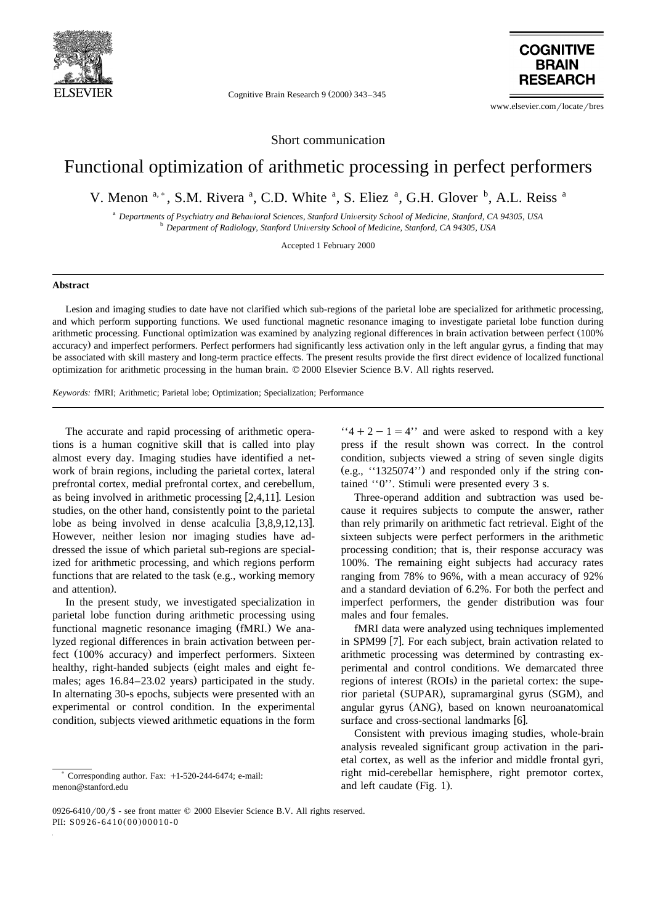

Cognitive Brain Research 9 (2000) 343-345



www.elsevier.com/locate/bres

Short communication

## Functional optimization of arithmetic processing in perfect performers

V. Menon <sup>a, \*</sup>, S.M. Rivera <sup>a</sup>, C.D. White <sup>a</sup>, S. Eliez <sup>a</sup>, G.H. Glover <sup>b</sup>, A.L. Reiss <sup>a</sup>

<sup>a</sup> Departments of Psychiatry and Behavioral Sciences, Stanford University School of Medicine, Stanford, CA 94305, USA<br><sup>b</sup> Department of Radiology, Stanford University School of Medicine, Stanford, CA 94305, USA

Accepted 1 February 2000

## **Abstract**

Lesion and imaging studies to date have not clarified which sub-regions of the parietal lobe are specialized for arithmetic processing, and which perform supporting functions. We used functional magnetic resonance imaging to investigate parietal lobe function during arithmetic processing. Functional optimization was examined by analyzing regional differences in brain activation between perfect (100%) accuracy) and imperfect performers. Perfect performers had significantly less activation only in the left angular gyrus, a finding that may be associated with skill mastery and long-term practice effects. The present results provide the first direct evidence of localized functional optimization for arithmetic processing in the human brain. q 2000 Elsevier Science B.V. All rights reserved.

*Keywords:* fMRI; Arithmetic; Parietal lobe; Optimization; Specialization; Performance

The accurate and rapid processing of arithmetic operations is a human cognitive skill that is called into play almost every day. Imaging studies have identified a network of brain regions, including the parietal cortex, lateral prefrontal cortex, medial prefrontal cortex, and cerebellum, as being involved in arithmetic processing  $[2,4,11]$ . Lesion studies, on the other hand, consistently point to the parietal lobe as being involved in dense acalculia  $[3,8,9,12,13]$ . However, neither lesion nor imaging studies have addressed the issue of which parietal sub-regions are specialized for arithmetic processing, and which regions perform functions that are related to the task (e.g., working memory and attention).

In the present study, we investigated specialization in parietal lobe function during arithmetic processing using functional magnetic resonance imaging (fMRI.) We analyzed regional differences in brain activation between perfect (100% accuracy) and imperfect performers. Sixteen healthy, right-handed subjects (eight males and eight females; ages  $16.84-23.02$  years) participated in the study. In alternating 30-s epochs, subjects were presented with an experimental or control condition. In the experimental condition, subjects viewed arithmetic equations in the form

 $4' + 2 - 1 = 4'$  and were asked to respond with a key press if the result shown was correct. In the control condition, subjects viewed a string of seven single digits  $(e.g., '1325074')$  and responded only if the string contained ''0''. Stimuli were presented every 3 s.

Three-operand addition and subtraction was used because it requires subjects to compute the answer, rather than rely primarily on arithmetic fact retrieval. Eight of the sixteen subjects were perfect performers in the arithmetic processing condition; that is, their response accuracy was 100%. The remaining eight subjects had accuracy rates ranging from 78% to 96%, with a mean accuracy of 92% and a standard deviation of 6.2%. For both the perfect and imperfect performers, the gender distribution was four males and four females.

fMRI data were analyzed using techniques implemented in SPM99 [7]. For each subject, brain activation related to arithmetic processing was determined by contrasting experimental and control conditions. We demarcated three regions of interest (ROIs) in the parietal cortex: the superior parietal (SUPAR), supramarginal gyrus (SGM), and angular gyrus (ANG), based on known neuroanatomical surface and cross-sectional landmarks [6].

Consistent with previous imaging studies, whole-brain analysis revealed significant group activation in the parietal cortex, as well as the inferior and middle frontal gyri, right mid-cerebellar hemisphere, right premotor cortex, and left caudate (Fig. 1).

Corresponding author. Fax:  $+1-520-244-6474$ ; e-mail: menon@stanford.edu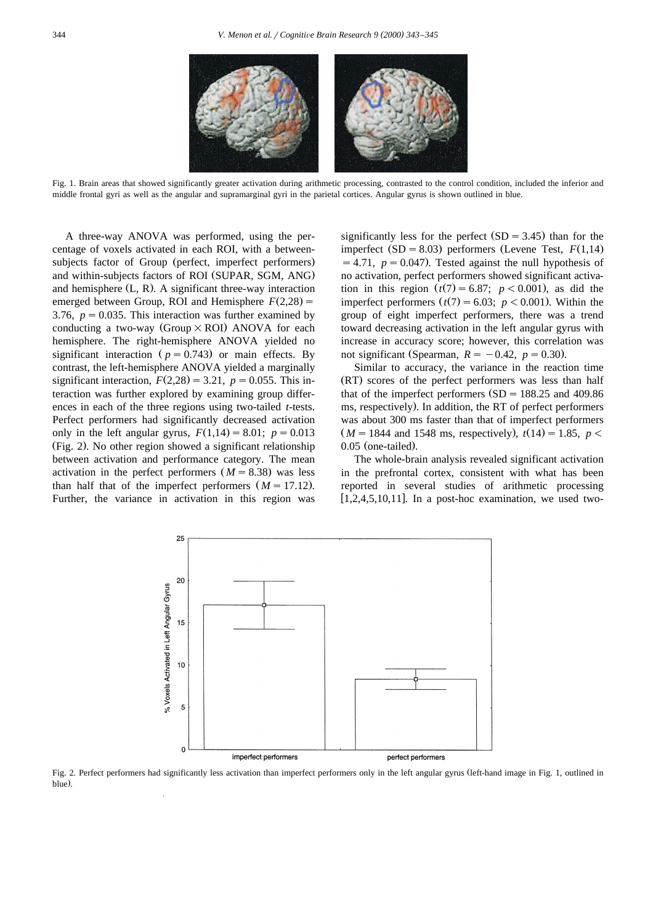

Fig. 1. Brain areas that showed significantly greater activation during arithmetic processing, contrasted to the control condition, included the inferior and middle frontal gyri as well as the angular and supramarginal gyri in the parietal cortices. Angular gyrus is shown outlined in blue.

A three-way ANOVA was performed, using the percentage of voxels activated in each ROI, with a betweensubjects factor of Group (perfect, imperfect performers) and within-subjects factors of ROI (SUPAR, SGM, ANG) and hemisphere  $(L, R)$ . A significant three-way interaction emerged between Group, ROI and Hemisphere  $F(2,28) =$ 3.76,  $p = 0.035$ . This interaction was further examined by conducting a two-way (Group  $\times$  ROI) ANOVA for each hemisphere. The right-hemisphere ANOVA yielded no significant interaction ( $p = 0.743$ ) or main effects. By contrast, the left-hemisphere ANOVA yielded a marginally significant interaction,  $F(2,28) = 3.21$ ,  $p = 0.055$ . This interaction was further explored by examining group differences in each of the three regions using two-tailed *t*-tests. Perfect performers had significantly decreased activation only in the left angular gyrus,  $F(1,14) = 8.01$ ;  $p = 0.013$ (Fig. 2). No other region showed a significant relationship between activation and performance category. The mean activation in the perfect performers  $(M = 8.38)$  was less than half that of the imperfect performers  $(M = 17.12)$ . Further, the variance in activation in this region was

significantly less for the perfect  $(SD = 3.45)$  than for the imperfect  $(SD = 8.03)$  performers (Levene Test,  $F(1,14)$ )  $s = 4.71$ ,  $p = 0.047$ . Tested against the null hypothesis of no activation, perfect performers showed significant activation in this region  $(t(7) = 6.87; p < 0.001)$ , as did the imperfect performers  $(t(7) = 6.03; p < 0.001)$ . Within the group of eight imperfect performers, there was a trend toward decreasing activation in the left angular gyrus with increase in accuracy score; however, this correlation was not significant (Spearman,  $R = -0.42$ ,  $p = 0.30$ ).

Similar to accuracy, the variance in the reaction time (RT) scores of the perfect performers was less than half that of the imperfect performers  $(SD = 188.25$  and 409.86 ms, respectively). In addition, the RT of perfect performers was about 300 ms faster than that of imperfect performers  $(M = 1844$  and 1548 ms, respectively),  $t(14) = 1.85$ ,  $p <$  $0.05$  (one-tailed).

The whole-brain analysis revealed significant activation in the prefrontal cortex, consistent with what has been reported in several studies of arithmetic processing  $\left[1, 2, 4, 5, 10, 11\right]$ . In a post-hoc examination, we used two-



Fig. 2. Perfect performers had significantly less activation than imperfect performers only in the left angular gyrus (left-hand image in Fig. 1, outlined in blue).